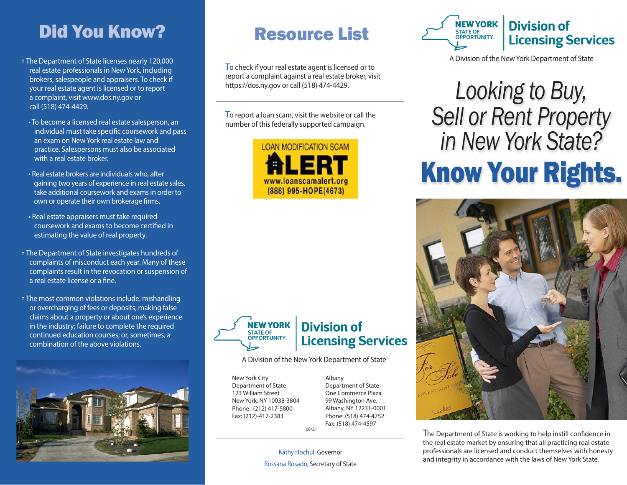## Did You Know?

- n The Department of State licenses nearly 120,000 real estate professionals in New York, including brokers, salespeople and appraisers. To check if your real estate agent is licensed or to report a complaint, visit www.dos.ny.gov or call (518) 474-4429.
	- To become a licensed real estate salesperson, an individual must take specific coursework and pass an exam on New York real estate law and practice. Salespersons must also be associated with a real estate broker.
	- Real estate brokers are individuals who, after gaining two years of experience in real estate sales, take additional coursework and exams in order to own or operate their own brokerage firms.
- Real estate appraisers must take required coursework and exams to become certified in estimating the value of real property.
- n The Department of State investigates hundreds of complaints of misconduct each year. Many of these complaints result in the revocation or suspension of a real estate license or a fine.
- n The most common violations include: mishandling or overcharging of fees or deposits; making false claims about a property or about one's experience in the industry; failure to complete the required continued education courses; or, sometimes, a combination of the above violations.



## Resource List

To check if your real estate agent is licensed or to report a complaint against a real estate broker, visit https://dos.ny.gov or call (518) 474-4429.

To report a loan scam, visit the website or call the number of this federally supported campaign.





#### **Division of Licensing Services**

A Division of the New York Department of State

New York City Department of State 123 William Street New York, NY 10038-3804 Phone: (212) 417-5800 Fax: (212)-417-2383

Albany Department of State One Commerce Plaza 99 Washington Ave. Albany, NY 12231-0001 Phone: (518) 474-4752 Fax: (518) 474-4597

08/21

Kathy Hochul, Governor



#### **Division of Licensing Services**

A Division of the New York Department of State

# *Looking to Buy, Sell or Rent Property in New York State?* Know Your Rights.



The Department of State is working to help instill confidence in the real estate market by ensuring that all practicing real estate professionals are licensed and conduct themselves with honesty and integrity in accordance with the laws of New York State. Rossana Rosado, Secretary of State